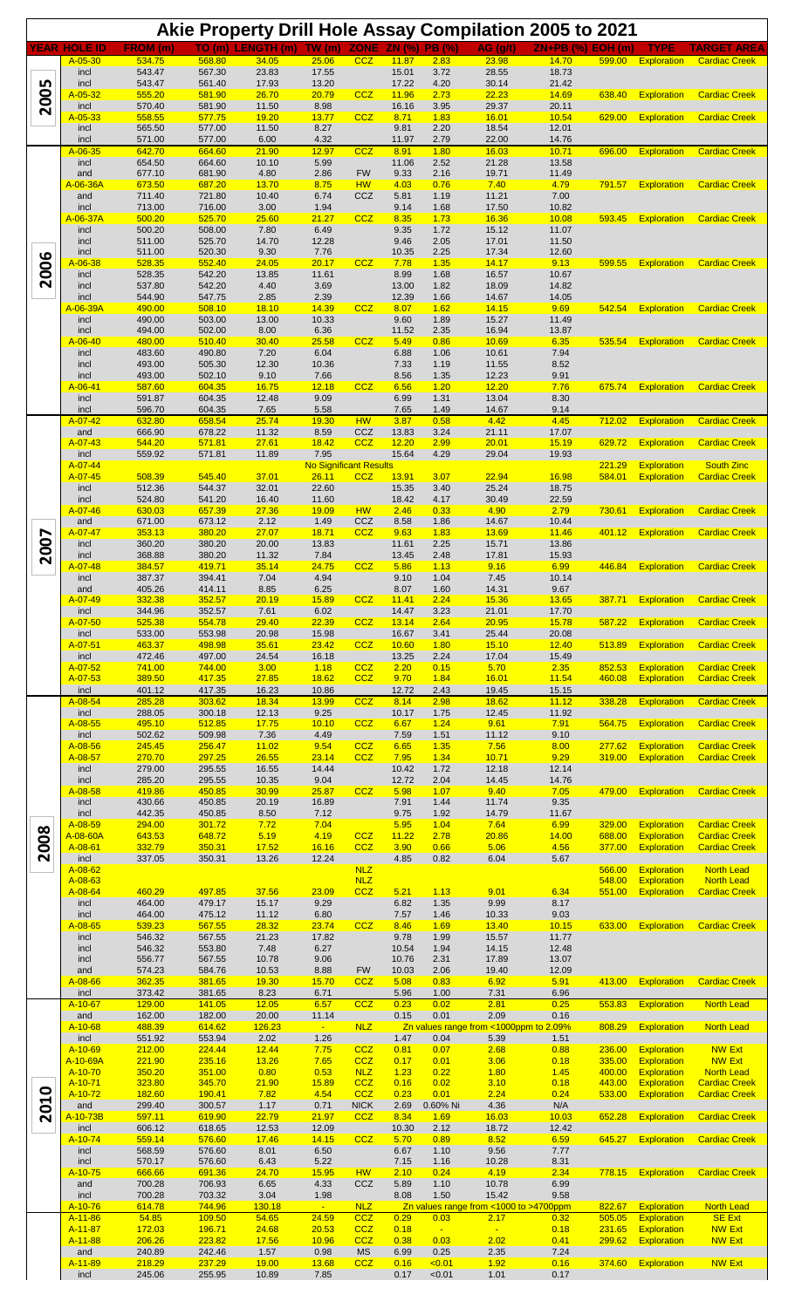|      |                                        |                  |                               |                          |                                       |                          |                |                  | Akie Property Drill Hole Assay Compilation 2005 to 2021 |                          |                  |                                          |                                              |
|------|----------------------------------------|------------------|-------------------------------|--------------------------|---------------------------------------|--------------------------|----------------|------------------|---------------------------------------------------------|--------------------------|------------------|------------------------------------------|----------------------------------------------|
|      | <b>YEAR HOLE ID</b>                    | FROM (m)         |                               | TO (m) LENGTH (m) TW (m) |                                       |                          | ZONE ZN (%)    | <b>PB</b> (%)    | AG (q/t)                                                | <b>ZN+PB (%) EOH (m)</b> |                  | TYPE                                     | TARGET AREA                                  |
|      | $A - 05 - 30$<br>incl                  | 534.75<br>543.47 | 568.80<br>567.30              | 34.05<br>23.83           | 25.06<br>17.55                        | <b>CCZ</b>               | 11.87<br>15.01 | 2.83<br>3.72     | 23.98<br>28.55                                          | 14.70<br>18.73           | 599.00           | Exploration                              | <b>Cardiac Creek</b>                         |
|      | incl<br>$A - 05 - 32$                  | 543.47<br>555.20 | 561.40<br>581.90              | 17.93<br>26.70           | 13.20<br>20.79                        | CCZ                      | 17.22<br>11.96 | 4.20<br>2.73     | 30.14<br>22.23                                          | 21.42<br>14.69           | 638.40           | <b>Exploration</b>                       | <b>Cardiac Creek</b>                         |
| 2005 | incl                                   | 570.40           | 581.90                        | 11.50                    | 8.98                                  | <b>CCZ</b>               | 16.16          | 3.95             | 29.37                                                   | 20.11                    |                  |                                          |                                              |
|      | $A - 05 - 33$<br>incl                  | 558.55<br>565.50 | 577.75<br>577.00              | 19.20<br>11.50           | 13.77<br>8.27                         |                          | 8.71<br>9.81   | 1.83<br>2.20     | 16.01<br>18.54                                          | 10.54<br>12.01           | 629.00           | <b>Exploration</b>                       | <b>Cardiac Creek</b>                         |
|      | incl<br>$A-06-35$                      | 571.00<br>642.70 | 577.00<br>664.60              | 6.00<br>21.90            | 4.32<br>12.97                         | CCZ                      | 11.97<br>8.91  | 2.79<br>1.80     | 22.00<br>16.03                                          | 14.76<br>10.71           | 696.00           | <b>Exploration</b>                       | <b>Cardiac Creek</b>                         |
|      | incl                                   | 654.50           | 664.60                        | 10.10                    | 5.99                                  |                          | 11.06          | 2.52             | 21.28                                                   | 13.58                    |                  |                                          |                                              |
|      | and<br>A-06-36A                        | 677.10<br>673.50 | 681.90<br>687.20              | 4.80<br>13.70            | 2.86<br>8.75                          | <b>FW</b><br><b>HW</b>   | 9.33<br>4.03   | 2.16<br>0.76     | 19.71<br>7.40                                           | 11.49<br>4.79            | 791.57           | <b>Exploration</b>                       | <b>Cardiac Creek</b>                         |
|      | and<br>incl                            | 711.40<br>713.00 | 721.80<br>716.00              | 10.40<br>3.00            | 6.74<br>1.94                          | CCZ                      | 5.81<br>9.14   | 1.19<br>1.68     | 11.21<br>17.50                                          | 7.00<br>10.82            |                  |                                          |                                              |
|      | A-06-37A                               | 500.20           | 525.70                        | 25.60                    | 21.27                                 | CCZ                      | 8.35           | 1.73             | 16.36                                                   | 10.08                    | 593.45           | <b>Exploration</b>                       | <b>Cardiac Creek</b>                         |
|      | incl<br>incl                           | 500.20<br>511.00 | 508.00<br>525.70              | 7.80<br>14.70            | 6.49<br>12.28                         |                          | 9.35<br>9.46   | 1.72<br>2.05     | 15.12<br>17.01                                          | 11.07<br>11.50           |                  |                                          |                                              |
|      | incl<br>$A - 06 - 38$                  | 511.00<br>528.35 | 520.30<br>552.40              | 9.30<br>24.05            | 7.76<br>20.17                         | <b>CCZ</b>               | 10.35<br>7.78  | 2.25<br>1.35     | 17.34<br>14.17                                          | 12.60<br>9.13            | 599.55           | <b>Exploration</b>                       | <b>Cardiac Creek</b>                         |
| 2006 | incl                                   | 528.35           | 542.20                        | 13.85                    | 11.61                                 |                          | 8.99           | 1.68             | 16.57                                                   | 10.67                    |                  |                                          |                                              |
|      | incl<br>incl                           | 537.80<br>544.90 | 542.20<br>547.75              | 4.40<br>2.85             | 3.69<br>2.39                          |                          | 13.00<br>12.39 | 1.82<br>1.66     | 18.09<br>14.67                                          | 14.82<br>14.05           |                  |                                          |                                              |
|      | A-06-39A<br>incl                       | 490.00<br>490.00 | 508.10<br>503.00              | <b>18.10</b><br>13.00    | 14.39<br>10.33                        | CCZ                      | 8.07<br>9.60   | 1.62<br>1.89     | 14.15<br>15.27                                          | 9.69<br>11.49            | 542.54           | <b>Exploration</b>                       | <b>Cardiac Creek</b>                         |
|      | incl                                   | 494.00           | 502.00                        | 8.00                     | 6.36                                  |                          | 11.52          | 2.35             | 16.94                                                   | 13.87                    |                  |                                          |                                              |
|      | $A - 06 - 40$<br>incl                  | 480.00<br>483.60 | 510.40<br>490.80              | 30.40<br>7.20            | 25.58<br>6.04                         | <b>CCZ</b>               | 5.49<br>6.88   | 0.86<br>1.06     | 10.69<br>10.61                                          | 6.35<br>7.94             | 535.54           | <b>Exploration</b>                       | <b>Cardiac Creek</b>                         |
|      | incl<br>incl                           | 493.00<br>493.00 | 505.30<br>502.10              | 12.30<br>9.10            | 10.36<br>7.66                         |                          | 7.33<br>8.56   | 1.19<br>1.35     | 11.55<br>12.23                                          | 8.52<br>9.91             |                  |                                          |                                              |
|      | $A - 06 - 41$                          | 587.60           | 604.35                        | 16.75                    | 12.18                                 | CCZ                      | 6.56           | 1.20             | 12.20                                                   | 7.76                     | 675.74           | <b>Exploration</b>                       | <b>Cardiac Creek</b>                         |
|      | incl<br>incl                           | 591.87<br>596.70 | 604.35<br>604.35              | 12.48<br>7.65            | 9.09<br>5.58                          |                          | 6.99<br>7.65   | 1.31<br>1.49     | 13.04<br>14.67                                          | 8.30<br>9.14             |                  |                                          |                                              |
|      | $A - 07 - 42$<br>and                   | 632.80<br>666.90 | 658.54<br>678.22              | 25.74<br>11.32           | 19.30<br>8.59                         | <b>HW</b><br>CCZ         | 3.87<br>13.83  | 0.58<br>3.24     | 4.42<br>21.11                                           | 4.45<br>17.07            | 712.02           | <b>Exploration</b>                       | <b>Cardiac Creek</b>                         |
|      | $A - 07 - 43$                          | 544.20           | 571.81                        | 27.61                    | 18.42                                 | CCZ                      | 12.20          | 2.99             | 20.01                                                   | 15.19                    | 629.72           | <b>Exploration</b>                       | <b>Cardiac Creek</b>                         |
|      | incl<br>$A - 07 - 44$                  | 559.92           | 571.81                        | 11.89                    | 7.95<br><b>No Significant Results</b> |                          | 15.64          | 4.29             | 29.04                                                   | 19.93                    | 221.29           | <b>Exploration</b>                       | <b>South Zinc</b>                            |
|      | A-07-45<br>incl                        | 508.39<br>512.36 | 545.40<br>544.37              | 37.01<br>32.01           | 26.11<br>22.60                        | CCZ                      | 13.91<br>15.35 | 3.07<br>3.40     | 22.94<br>25.24                                          | 16.98<br>18.75           | 584.01           | <b>Exploration</b>                       | <b>Cardiac Creek</b>                         |
|      | incl                                   | 524.80           | 541.20                        | 16.40                    | 11.60                                 |                          | 18.42          | 4.17             | 30.49                                                   | 22.59                    |                  |                                          |                                              |
|      | A-07-46<br>and                         | 630.03<br>671.00 | 657.39<br>673.12              | 27.36<br>2.12            | 19.09<br>1.49                         | <b>HW</b><br>CCZ         | 2.46<br>8.58   | 0.33<br>1.86     | 4.90<br>14.67                                           | 2.79<br>10.44            | 730.61           | <b>Exploration</b>                       | <b>Cardiac Creek</b>                         |
|      | A-07-47<br>incl                        | 353.13<br>360.20 | 380.20<br>380.20              | 27.07<br>20.00           | 18.71<br>13.83                        | <b>CCZ</b>               | 9.63<br>11.61  | 1.83<br>2.25     | 13.69<br>15.71                                          | 11.46<br>13.86           | 401.12           | Exploration                              | <b>Cardiac Creek</b>                         |
| 2007 | incl                                   | 368.88           | 380.20                        | 11.32                    | 7.84                                  |                          | 13.45          | 2.48             | 17.81                                                   | 15.93                    |                  |                                          |                                              |
|      | $A - 07 - 48$<br>incl                  | 384.57<br>387.37 | 419.71<br>394.41              | 35.14<br>7.04            | 24.75<br>4.94                         | <b>CCZ</b>               | 5.86<br>9.10   | 1.13<br>1.04     | 9.16<br>7.45                                            | 6.99<br>10.14            | 446.84           | <b>Exploration</b>                       | <b>Cardiac Creek</b>                         |
|      | and<br>A-07-49                         | 405.26<br>332.38 | 414.11<br><mark>352.57</mark> | 8.85<br><b>20.19</b>     | 6.25<br>15.89                         | <b>CCZ</b>               | 8.07<br>11.41  | 1.60<br>2.24     | 14.31<br>15.36                                          | 9.67<br>13.65            | 387.71           |                                          | <b>Exploration</b> Cardiac Creek             |
|      | incl                                   | 344.96           | 352.57                        | 7.61                     | 6.02                                  |                          | 14.47          | 3.23             | 21.01                                                   | 17.70                    |                  |                                          |                                              |
|      | A-07-50<br>incl                        | 525.38<br>533.00 | 554.78<br>553.98              | 29.40<br>20.98           | 22.39<br>15.98                        | <b>CCZ</b>               | 13.14<br>16.67 | 2.64<br>3.41     | 20.95<br>25.44                                          | 15.78<br>20.08           | 587.22           | <b>Exploration</b>                       | <b>Cardiac Creek</b>                         |
|      | A-07-51<br>incl                        | 463.37<br>472.46 | 498.98<br>497.00              | 35.61<br>24.54           | 23.42<br>16.18                        | <b>CCZ</b>               | 10.60<br>13.25 | 1.80<br>2.24     | 15.10<br>17.04                                          | 12.40<br>15.49           | 513.89           | <b>Exploration</b>                       | <b>Cardiac Creek</b>                         |
|      | A-07-52                                | 741.00           | 744.00                        | 3.00                     | 1.18                                  | <b>CCZ</b>               | 2.20           | 0.15             | 5.70                                                    | 2.35                     | 852.53           | <b>Exploration</b>                       | <b>Cardiac Creek</b>                         |
|      | A-07-53<br>incl                        | 389.50<br>401.12 | 417.35<br>417.35              | 27.85<br>16.23           | 18.62<br>10.86                        | CCZ                      | 9.70<br>12.72  | 1.84<br>2.43     | 16.01<br>19.45                                          | 11.54<br>15.15           | 460.08           | <b>Exploration</b>                       | <b>Cardiac Creek</b>                         |
|      | A-08-54<br>incl                        | 285.28<br>288.05 | 303.62<br>300.18              | 18.34<br>12.13           | 13.99<br>9.25                         | <b>CCZ</b>               | 8.14<br>10.17  | 2.98<br>1.75     | 18.62<br>12.45                                          | 11.12<br>11.92           | 338.28           | <b>Exploration</b>                       | <b>Cardiac Creek</b>                         |
|      | A-08-55                                | 495.10           | 512.85                        | 17.75                    | 10.10                                 | <b>CCZ</b>               | 6.67           | 1.24             | 9.61                                                    | 7.91                     | 564.75           | <b>Exploration</b>                       | <b>Cardiac Creek</b>                         |
|      | incl<br>A-08-56                        | 502.62<br>245.45 | 509.98<br>256.47              | 7.36<br>11.02            | 4.49<br>9.54                          | <b>CCZ</b>               | 7.59<br>6.65   | 1.51<br>1.35     | 11.12<br>7.56                                           | 9.10<br>8.00             | 277.62           | <b>Exploration</b>                       | <b>Cardiac Creek</b>                         |
|      | A-08-57<br>incl                        | 270.70<br>279.00 | 297.25<br>295.55              | 26.55<br>16.55           | 23.14<br>14.44                        | <b>CCZ</b>               | 7.95<br>10.42  | 1.34<br>1.72     | 10.71<br>12.18                                          | 9.29<br>12.14            | 319.00           | <b>Exploration</b>                       | <b>Cardiac Creek</b>                         |
|      | incl<br>A-08-58                        | 285.20           | 295.55<br>450.85              | 10.35                    | 9.04                                  | CCZ                      | 12.72<br>5.98  | 2.04             | 14.45<br>9.40                                           | 14.76                    |                  |                                          |                                              |
|      | incl                                   | 419.86<br>430.66 | 450.85                        | 30.99<br>20.19           | 25.87<br>16.89                        |                          | 7.91           | 1.07<br>1.44     | 11.74                                                   | 7.05<br>9.35             | 479.00           | <b>Exploration</b>                       | <b>Cardiac Creek</b>                         |
|      | incl<br>A-08-59                        | 442.35<br>294.00 | 450.85<br>301.72              | 8.50<br>7.72             | 7.12<br>7.04                          |                          | 9.75<br>5.95   | 1.92<br>1.04     | 14.79<br>7.64                                           | 11.67<br>6.99            | 329.00           | Exploration                              | <b>Cardiac Creek</b>                         |
| 2008 | <mark>A-08-60A</mark><br>$A - 08 - 61$ | 643.53<br>332.79 | 648.72<br>350.31              | 5.19<br>17.52            | 4.19<br>16.16                         | <b>CCZ</b><br><b>CCZ</b> | 11.22<br>3.90  | 2.78<br>0.66     | 20.86<br>5.06                                           | 14.00<br>4.56            | 688.00<br>377.00 | Exploration<br>Exploration               | <b>Cardiac Creek</b><br><b>Cardiac Creek</b> |
|      | incl                                   | 337.05           | 350.31                        | 13.26                    | 12.24                                 |                          | 4.85           | 0.82             | 6.04                                                    | 5.67                     |                  |                                          |                                              |
|      | A-08-62<br>A-08-63                     |                  |                               |                          |                                       | <b>NLZ</b><br><b>NLZ</b> |                |                  |                                                         |                          | 566.00<br>548.00 | <b>Exploration</b><br>Exploration        | <b>North Lead</b><br><b>North Lead</b>       |
|      | A-08-64<br>incl                        | 460.29<br>464.00 | 497.85<br>479.17              | 37.56<br>15.17           | 23.09<br>9.29                         | <b>CCZ</b>               | 5.21<br>6.82   | 1.13<br>1.35     | 9.01<br>9.99                                            | 6.34<br>8.17             | 551.00           | Exploration                              | <b>Cardiac Creek</b>                         |
|      | incl                                   | 464.00           | 475.12                        | 11.12                    | 6.80                                  |                          | 7.57           | 1.46             | 10.33                                                   | 9.03                     |                  |                                          |                                              |
|      | A-08-65<br>incl                        | 539.23<br>546.32 | 567.55<br>567.55              | 28.32<br>21.23           | 23.74<br>17.82                        | <b>CCZ</b>               | 8.46<br>9.78   | 1.69<br>1.99     | 13.40<br>15.57                                          | 10.15<br>11.77           | 633.00           | <b>Exploration</b>                       | <b>Cardiac Creek</b>                         |
|      | incl<br>incl                           | 546.32<br>556.77 | 553.80<br>567.55              | 7.48<br>10.78            | 6.27<br>9.06                          |                          | 10.54<br>10.76 | 1.94<br>2.31     | 14.15<br>17.89                                          | 12.48<br>13.07           |                  |                                          |                                              |
|      | and                                    | 574.23           | 584.76                        | 10.53                    | 8.88                                  | <b>FW</b>                | 10.03          | 2.06             | 19.40                                                   | 12.09                    |                  |                                          |                                              |
|      | A-08-66<br>incl                        | 362.35<br>373.42 | 381.65<br>381.65              | <b>19.30</b><br>8.23     | 15.70<br>6.71                         | <b>CCZ</b>               | 5.08<br>5.96   | 0.83<br>1.00     | 6.92<br>7.31                                            | 5.91<br>6.96             | 413.00           | <b>Exploration</b>                       | <b>Cardiac Creek</b>                         |
|      | $A-10-67$<br>and                       | 129.00<br>162.00 | 141.05<br>182.00              | 12.05<br>20.00           | 6.57<br>11.14                         | <b>CCZ</b>               | 0.23<br>0.15   | 0.02<br>0.01     | 2.81<br>2.09                                            | 0.25<br>0.16             | 553.83           | <b>Exploration</b>                       | <b>North Lead</b>                            |
|      | A-10-68                                | 488.39           | 614.62                        | 126.23                   | <b>Page</b>                           | <b>NLZ</b>               |                |                  | Zn values range from <1000ppm to 2.09%                  |                          | 808.29           | <b>Exploration</b>                       | <b>North Lead</b>                            |
|      | incl<br>A-10-69                        | 551.92<br>212.00 | 553.94<br>224.44              | 2.02<br>12.44            | 1.26<br>7.75                          | <b>CCZ</b>               | 1.47<br>0.81   | 0.04<br>0.07     | 5.39<br>2.68                                            | 1.51<br>0.88             | 236.00           | <b>Exploration</b>                       | <b>NW Ext</b>                                |
|      | A-10-69A<br>A-10-70                    | 221.90<br>350.20 | 235.16<br>351.00              | 13.26<br>0.80            | 7.65<br>0.53                          | CCZ<br><b>NLZ</b>        | 0.17<br>1.23   | 0.01<br>0.22     | 3.06<br>1.80                                            | 0.18<br>1.45             | 335.00<br>400.00 | <b>Exploration</b><br>Exploration        | <b>NW Ext</b><br><b>North Lead</b>           |
|      | A-10-71                                | 323.80           | 345.70                        | 21.90                    | 15.89                                 | CCZ                      | 0.16           | 0.02             | 3.10                                                    | 0.18                     | 443.00           | Exploration                              | <b>Cardiac Creek</b>                         |
| 2010 | A-10-72<br>and                         | 182.60<br>299.40 | 190.41<br>300.57              | 7.82<br>1.17             | 4.54<br>0.71                          | CCZ<br><b>NICK</b>       | 0.23<br>2.69   | 0.01<br>0.60% Ni | 2.24<br>4.36                                            | 0.24<br>N/A              | 533.00           | Exploration                              | <b>Cardiac Creek</b>                         |
|      | A-10-73B<br>incl                       | 597.11<br>606.12 | 619.90<br>618.65              | 22.79<br>12.53           | 21.97<br>12.09                        | CCZ                      | 8.34<br>10.30  | 1.69<br>2.12     | 16.03<br>18.72                                          | 10.03<br>12.42           | 652.28           | Exploration                              | <b>Cardiac Creek</b>                         |
|      | A-10-74                                | 559.14           | 576.60                        | 17.46                    | 14.15                                 | CCZ                      | 5.70           | 0.89             | 8.52                                                    | 6.59                     | 645.27           | <b>Exploration</b>                       | <b>Cardiac Creek</b>                         |
|      | incl<br>incl                           | 568.59<br>570.17 | 576.60<br>576.60              | 8.01<br>6.43             | 6.50<br>5.22                          |                          | 6.67<br>7.15   | 1.10<br>1.16     | 9.56<br>10.28                                           | 7.77<br>8.31             |                  |                                          |                                              |
|      | A-10-75<br>and                         | 666.66<br>700.28 | 691.36<br>706.93              | 24.70<br>6.65            | 15.95<br>4.33                         | <b>HW</b><br>CCZ         | 2.10<br>5.89   | 0.24<br>1.10     | 4.19<br>10.78                                           | 2.34<br>6.99             |                  | 778.15 Exploration                       | <b>Cardiac Creek</b>                         |
|      | incl                                   | 700.28           | 703.32                        | 3.04                     | 1.98                                  |                          | 8.08           | 1.50             | 15.42                                                   | 9.58                     |                  |                                          |                                              |
|      | A-10-76<br>A-11-86                     | 614.78<br>54.85  | 744.96<br>109.50              | 130.18<br>54.65          | $\sim 10^{-10}$<br>24.59              | <b>NLZ</b><br><b>CCZ</b> | 0.29           | 0.03             | Zn values range from <1000 to >4700ppm<br>2.17          | 0.32                     | 822.67<br>505.05 | <b>Exploration</b><br><b>Exploration</b> | <b>North Lead</b><br><b>SE Ext</b>           |
|      | A-11-87<br>A-11-88                     | 172.03<br>206.26 | 196.71<br>223.82              | 24.68<br>17.56           | 20.53<br>10.96                        | <b>CCZ</b><br>CCZ        | 0.18<br>0.38   | $\sim$<br>0.03   | 2.02                                                    | 0.18<br>0.41             | 231.65<br>299.62 | <b>Exploration</b><br><b>Exploration</b> | <b>NW Ext</b><br><b>NW Ext</b>               |
|      | and                                    | 240.89           | 242.46                        | 1.57                     | 0.98                                  | <b>MS</b>                | 6.99           | 0.25             | 2.35                                                    | 7.24                     |                  |                                          |                                              |
|      | A-11-89<br>incl                        | 218.29<br>245.06 | 237.29<br>255.95              | 19.00<br>10.89           | 13.68<br>7.85                         | CCZ                      | 0.16<br>0.17   | < 0.01<br>< 0.01 | 1.92<br>1.01                                            | 0.16<br>0.17             | 374.60           | Exploration                              | <b>NW Ext</b>                                |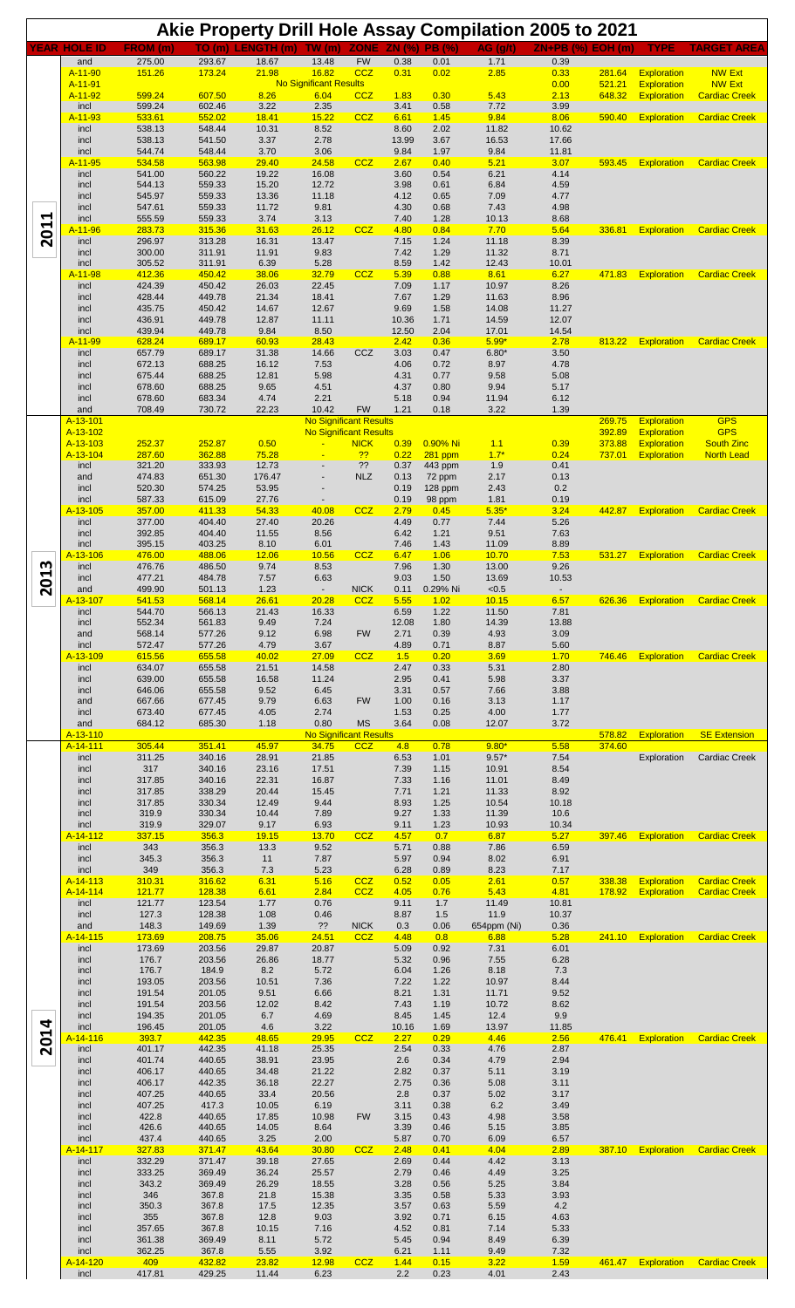|                                              |                               |                           |                  |                            |                                        |                          |                     |                          | Akie Property Drill Hole Assay Compilation 2005 to 2021 |                     |                  |                                          |                                 |
|----------------------------------------------|-------------------------------|---------------------------|------------------|----------------------------|----------------------------------------|--------------------------|---------------------|--------------------------|---------------------------------------------------------|---------------------|------------------|------------------------------------------|---------------------------------|
|                                              | <b>YEAR HOLE ID</b><br>and    | <b>FROM</b> (m)<br>275.00 | TO (m)<br>293.67 | <b>LENGTH</b> (m)<br>18.67 | TW(m)<br>13.48                         | <b>ZONE</b><br><b>FW</b> | ZN (%)<br>0.38      | <b>PB</b> (%)<br>0.01    | AG (q/t)<br>1.71                                        | $ZN+PB$ (%)<br>0.39 | EOH(m)           | <b>TYPE</b>                              | <b>TARGET AREA</b>              |
|                                              | A-11-90<br>A-11-91            | 151.26                    | 173.24           | 21.98                      | 16.82<br><b>No Significant Results</b> | <b>CCZ</b>               | 0.31                | 0.02                     | 2.85                                                    | 0.33<br>0.00        | 281.64<br>521.21 | <b>Exploration</b><br><b>Exploration</b> | <b>NW Ext</b><br><b>NW Ext</b>  |
|                                              | A-11-92                       | 599.24                    | 607.50           | 8.26                       | 6.04                                   | CCZ                      | 1.83                | 0.30                     | 5.43                                                    | 2.13                | 648.32           | <b>Exploration</b>                       | <b>Cardiac Creek</b>            |
|                                              | incl<br>A-11-93               | 599.24<br>533.61          | 602.46<br>552.02 | 3.22<br>18.41              | 2.35<br>15.22                          | CCZ                      | 3.41<br>6.61        | 0.58<br>1.45             | 7.72<br>9.84                                            | 3.99<br>8.06        | 590.40           | <b>Exploration</b>                       | <b>Cardiac Creek</b>            |
|                                              | incl<br>incl                  | 538.13<br>538.13          | 548.44<br>541.50 | 10.31<br>3.37              | 8.52<br>2.78                           |                          | 8.60<br>13.99       | 2.02<br>3.67             | 11.82<br>16.53                                          | 10.62<br>17.66      |                  |                                          |                                 |
|                                              | incl                          | 544.74                    | 548.44           | 3.70                       | 3.06                                   |                          | 9.84                | 1.97                     | 9.84                                                    | 11.81               |                  |                                          |                                 |
|                                              | A-11-95<br>incl               | 534.58<br>541.00          | 563.98<br>560.22 | 29.40<br>19.22             | 24.58<br>16.08                         | <b>CCZ</b>               | 2.67<br>3.60        | 0.40<br>0.54             | 5.21<br>6.21                                            | 3.07<br>4.14        | 593.45           | <b>Exploration</b>                       | <b>Cardiac Creek</b>            |
|                                              | incl<br>incl                  | 544.13<br>545.97          | 559.33<br>559.33 | 15.20<br>13.36             | 12.72<br>11.18                         |                          | 3.98<br>4.12        | 0.61<br>0.65             | 6.84<br>7.09                                            | 4.59<br>4.77        |                  |                                          |                                 |
| 2011                                         | incl<br>incl                  | 547.61<br>555.59          | 559.33<br>559.33 | 11.72<br>3.74              | 9.81<br>3.13                           |                          | 4.30<br>7.40        | 0.68<br>1.28             | 7.43<br>10.13                                           | 4.98                |                  |                                          |                                 |
|                                              | A-11-96                       | 283.73                    | 315.36           | 31.63                      | 26.12                                  | <b>CCZ</b>               | 4.80                | 0.84                     | 7.70                                                    | 8.68<br>5.64        | 336.81           | <b>Exploration</b>                       | <b>Cardiac Creek</b>            |
|                                              | incl<br>incl                  | 296.97<br>300.00          | 313.28<br>311.91 | 16.31<br>11.91             | 13.47<br>9.83                          |                          | 7.15<br>7.42        | 1.24<br>1.29             | 11.18<br>11.32                                          | 8.39<br>8.71        |                  |                                          |                                 |
|                                              | incl<br>A-11-98               | 305.52<br>412.36          | 311.91<br>450.42 | 6.39<br>38.06              | 5.28<br>32.79                          | CCZ                      | 8.59<br>5.39        | 1.42<br>0.88             | 12.43<br>8.61                                           | 10.01<br>6.27       | 471.83           | <b>Exploration</b>                       | <b>Cardiac Creek</b>            |
|                                              | incl                          | 424.39                    | 450.42           | 26.03                      | 22.45                                  |                          | 7.09                | 1.17                     | 10.97                                                   | 8.26                |                  |                                          |                                 |
|                                              | incl<br>incl                  | 428.44<br>435.75          | 449.78<br>450.42 | 21.34<br>14.67             | 18.41<br>12.67                         |                          | 7.67<br>9.69        | 1.29<br>1.58             | 11.63<br>14.08                                          | 8.96<br>11.27       |                  |                                          |                                 |
|                                              | incl<br>incl                  | 436.91<br>439.94          | 449.78<br>449.78 | 12.87<br>9.84              | 11.11<br>8.50                          |                          | 10.36<br>12.50      | 1.71<br>2.04             | 14.59<br>17.01                                          | 12.07<br>14.54      |                  |                                          |                                 |
|                                              | A-11-99<br>incl               | 628.24<br>657.79          | 689.17<br>689.17 | 60.93<br>31.38             | 28.43<br>14.66                         | CCZ                      | 2.42<br>3.03        | 0.36<br>0.47             | $5.99*$<br>$6.80*$                                      | 2.78<br>3.50        | 813.22           | <b>Exploration</b>                       | <b>Cardiac Creek</b>            |
|                                              | incl                          | 672.13                    | 688.25           | 16.12                      | 7.53                                   |                          | 4.06                | 0.72                     | 8.97                                                    | 4.78                |                  |                                          |                                 |
|                                              | incl<br>incl                  | 675.44<br>678.60          | 688.25<br>688.25 | 12.81<br>9.65              | 5.98<br>4.51                           |                          | 4.31<br>4.37        | 0.77<br>0.80             | 9.58<br>9.94                                            | 5.08<br>5.17        |                  |                                          |                                 |
|                                              | incl<br>and                   | 678.60<br>708.49          | 683.34<br>730.72 | 4.74<br>22.23              | 2.21<br>10.42                          | <b>FW</b>                | 5.18<br>1.21        | 0.94<br>0.18             | 11.94<br>3.22                                           | 6.12<br>1.39        |                  |                                          |                                 |
|                                              | A-13-101                      |                           |                  |                            | <b>No Significant Results</b>          |                          |                     |                          |                                                         |                     | 269.75           | <b>Exploration</b>                       | <b>GPS</b>                      |
|                                              | A-13-102<br>A-13-103          | 252.37                    | 252.87           | 0.50                       | <b>No Significant Results</b>          | <b>NICK</b>              | 0.39                | 0.90% Ni                 | 1.1                                                     | 0.39                | 392.89<br>373.88 | <b>Exploration</b><br><b>Exploration</b> | <b>GPS</b><br><b>South Zinc</b> |
|                                              | A-13-104<br>incl              | 287.60<br>321.20          | 362.88<br>333.93 | 75.28<br>12.73             | $\blacksquare$<br>$\blacksquare$       | ??<br>??                 | 0.22<br>0.37        | $281$ ppm<br>443 ppm     | $1.7*$<br>1.9                                           | 0.24<br>0.41        | 737.01           | <b>Exploration</b>                       | <b>North Lead</b>               |
|                                              | and<br>incl                   | 474.83<br>520.30          | 651.30<br>574.25 | 176.47<br>53.95            |                                        | <b>NLZ</b>               | 0.13<br>0.19        | 72 ppm<br>128 ppm        | 2.17<br>2.43                                            | 0.13<br>0.2         |                  |                                          |                                 |
|                                              | incl                          | 587.33                    | 615.09           | 27.76                      |                                        |                          | 0.19                | 98 ppm                   | 1.81                                                    | 0.19                |                  |                                          |                                 |
| w<br>$\blacktriangleright$<br>$\overline{5}$ | A-13-105<br>incl              | 357.00<br>377.00          | 411.33<br>404.40 | 54.33<br>27.40             | 40.08<br>20.26                         | <b>CCZ</b>               | 2.79<br>4.49        | 0.45<br>0.77             | $5.35*$<br>7.44                                         | 3.24<br>5.26        | 442.87           | <b>Exploration</b>                       | <b>Cardiac Creek</b>            |
|                                              | incl<br>incl                  | 392.85<br>395.15          | 404.40<br>403.25 | 11.55<br>8.10              | 8.56<br>6.01                           |                          | 6.42<br>7.46        | 1.21<br>1.43             | 9.51<br>11.09                                           | 7.63<br>8.89        |                  |                                          |                                 |
|                                              | <mark>A-13-106</mark><br>incl | 476.00<br>476.76          | 488.06<br>486.50 | 12.06<br>9.74              | 10.56<br>8.53                          | CCZ                      | 6.47<br>7.96        | 1.06<br>1.30             | 10.70<br>13.00                                          | 7.53<br>9.26        | 531.27           | <b>Exploration</b>                       | <b>Cardiac Creek</b>            |
|                                              | incl                          | 477.21                    | 484.78           | 7.57                       | 6.63                                   |                          | 9.03                | 1.50                     | 13.69                                                   | 10.53               |                  |                                          |                                 |
|                                              | and<br><mark>4-13-107</mark>  | 499.90<br><u>541.53</u>   | 501.13<br>568.14 | 1.23<br><u>26.61</u>       | <u>20.28</u>                           | <b>NICK</b><br>CC∠       | 0.11<br><u>5.55</u> | 0.29% Ni<br><u> 1.02</u> | < 0.5<br><u> 10.15</u>                                  | 6.57                | 626.36           | <b>Exploration</b>                       | <b>Cardiac Creek</b>            |
|                                              | incl<br>incl                  | 544.70<br>552.34          | 566.13<br>561.83 | 21.43<br>9.49              | 16.33<br>7.24                          |                          | 6.59<br>12.08       | 1.22<br>1.80             | 11.50<br>14.39                                          | 7.81<br>13.88       |                  |                                          |                                 |
|                                              | and<br>incl                   | 568.14<br>572.47          | 577.26<br>577.26 | 9.12<br>4.79               | 6.98<br>3.67                           | <b>FW</b>                | 2.71<br>4.89        | 0.39<br>0.71             | 4.93<br>8.87                                            | 3.09<br>5.60        |                  |                                          |                                 |
|                                              | A-13-109                      | 615.56                    | 655.58           | 40.02                      | 27.09                                  | <b>CCZ</b>               | 1.5                 | 0.20                     | 3.69                                                    | 1.70                | 746.46           | Exploration                              | <b>Cardiac Creek</b>            |
|                                              | incl<br>incl                  | 634.07<br>639.00          | 655.58<br>655.58 | 21.51<br>16.58             | 14.58<br>11.24                         |                          | 2.47<br>2.95        | 0.33<br>0.41             | 5.31<br>5.98                                            | 2.80<br>3.37        |                  |                                          |                                 |
|                                              | incl<br>and                   | 646.06<br>667.66          | 655.58<br>677.45 | 9.52<br>9.79               | 6.45<br>6.63                           | <b>FW</b>                | 3.31<br>1.00        | 0.57<br>0.16             | 7.66<br>3.13                                            | 3.88<br>1.17        |                  |                                          |                                 |
|                                              | incl<br>and                   | 673.40<br>684.12          | 677.45<br>685.30 | 4.05<br>1.18               | 2.74<br>0.80                           | <b>MS</b>                | 1.53<br>3.64        | 0.25<br>0.08             | 4.00<br>12.07                                           | 1.77<br>3.72        |                  |                                          |                                 |
|                                              | A-13-110                      |                           |                  |                            | <b>No Significant Results</b>          |                          |                     |                          |                                                         |                     | 578.82           | <b>Exploration</b>                       | <b>SE Extension</b>             |
|                                              | A-14-111<br>incl              | 305.44<br>311.25          | 351.41<br>340.16 | 45.97<br>28.91             | 34.75<br>21.85                         | CCZ                      | 4.8<br>6.53         | 0.78<br>1.01             | $9.80*$<br>$9.57*$                                      | 5.58<br>7.54        | 374.60           | Exploration                              | Cardiac Creek                   |
|                                              | incl<br>incl                  | 317<br>317.85             | 340.16<br>340.16 | 23.16<br>22.31             | 17.51<br>16.87                         |                          | 7.39<br>7.33        | 1.15<br>1.16             | 10.91<br>11.01                                          | 8.54<br>8.49        |                  |                                          |                                 |
|                                              | incl<br>incl                  | 317.85<br>317.85          | 338.29<br>330.34 | 20.44<br>12.49             | 15.45<br>9.44                          |                          | 7.71<br>8.93        | 1.21<br>1.25             | 11.33<br>10.54                                          | 8.92<br>10.18       |                  |                                          |                                 |
|                                              | incl                          | 319.9                     | 330.34           | 10.44                      | 7.89                                   |                          | 9.27                | 1.33                     | 11.39                                                   | 10.6                |                  |                                          |                                 |
|                                              | incl<br>A-14-112              | 319.9<br>337.15           | 329.07<br>356.3  | 9.17<br>19.15              | 6.93<br>13.70                          | CCZ                      | 9.11<br>4.57        | 1.23<br>0.7              | 10.93<br>6.87                                           | 10.34<br>5.27       | 397.46           | <b>Exploration</b>                       | <b>Cardiac Creek</b>            |
|                                              | incl<br>incl                  | 343<br>345.3              | 356.3<br>356.3   | 13.3<br>11                 | 9.52<br>7.87                           |                          | 5.71<br>5.97        | 0.88<br>0.94             | 7.86<br>8.02                                            | 6.59<br>6.91        |                  |                                          |                                 |
|                                              | incl<br>A-14-113              | 349<br>310.31             | 356.3<br>316.62  | 7.3<br>6.31                | 5.23<br>5.16                           | <b>CCZ</b>               | 6.28<br>0.52        | 0.89<br>0.05             | 8.23<br>2.61                                            | 7.17<br>0.57        | 338.38           | Exploration                              | <b>Cardiac Creek</b>            |
|                                              | A-14-114                      | 121.77<br>121.77          | 128.38<br>123.54 | 6.61<br>1.77               | 2.84<br>0.76                           | <b>CCZ</b>               | 4.05<br>9.11        | 0.76                     | 5.43<br>11.49                                           | 4.81<br>10.81       | 178.92           | Exploration                              | <b>Cardiac Creek</b>            |
|                                              | incl<br>incl                  | 127.3                     | 128.38           | 1.08                       | 0.46                                   |                          | 8.87                | 1.7<br>1.5               | 11.9                                                    | 10.37               |                  |                                          |                                 |
|                                              | and<br>A-14-115               | 148.3<br>173.69           | 149.69<br>208.75 | 1.39<br>35.06              | ??<br>24.51                            | <b>NICK</b><br>CCZ       | 0.3<br>4.48         | 0.06<br>0.8              | 654ppm (Ni)<br>6.88                                     | 0.36<br>5.28        | 241.10           | Exploration                              | <b>Cardiac Creek</b>            |
|                                              | incl<br>incl                  | 173.69<br>176.7           | 203.56<br>203.56 | 29.87<br>26.86             | 20.87<br>18.77                         |                          | 5.09<br>5.32        | 0.92<br>0.96             | 7.31<br>7.55                                            | 6.01<br>6.28        |                  |                                          |                                 |
|                                              | incl                          | 176.7<br>193.05           | 184.9<br>203.56  | 8.2<br>10.51               | 5.72<br>7.36                           |                          | 6.04<br>7.22        | 1.26<br>1.22             | 8.18<br>10.97                                           | 7.3<br>8.44         |                  |                                          |                                 |
|                                              | incl<br>incl                  | 191.54                    | 201.05           | 9.51                       | 6.66                                   |                          | 8.21                | 1.31                     | 11.71                                                   | 9.52                |                  |                                          |                                 |
|                                              | incl<br>incl                  | 191.54<br>194.35          | 203.56<br>201.05 | 12.02<br>6.7               | 8.42<br>4.69                           |                          | 7.43<br>8.45        | 1.19<br>1.45             | 10.72<br>12.4                                           | 8.62<br>9.9         |                  |                                          |                                 |
| 2014                                         | incl<br>A-14-116              | 196.45<br>393.7           | 201.05<br>442.35 | 4.6<br>48.65               | 3.22<br>29.95                          | CCZ                      | 10.16<br>2.27       | 1.69<br>0.29             | 13.97<br>4.46                                           | 11.85<br>2.56       | 476.41           | Exploration                              | <b>Cardiac Creek</b>            |
|                                              | incl<br>incl                  | 401.17<br>401.74          | 442.35<br>440.65 | 41.18<br>38.91             | 25.35<br>23.95                         |                          | 2.54<br>2.6         | 0.33<br>0.34             | 4.76<br>4.79                                            | 2.87<br>2.94        |                  |                                          |                                 |
|                                              | incl                          | 406.17                    | 440.65           | 34.48                      | 21.22                                  |                          | 2.82                | 0.37                     | 5.11                                                    | 3.19                |                  |                                          |                                 |
|                                              | incl<br>incl                  | 406.17<br>407.25          | 442.35<br>440.65 | 36.18<br>33.4              | 22.27<br>20.56                         |                          | 2.75<br>2.8         | 0.36<br>0.37             | 5.08<br>5.02                                            | 3.11<br>3.17        |                  |                                          |                                 |
|                                              | incl<br>incl                  | 407.25<br>422.8           | 417.3<br>440.65  | 10.05<br>17.85             | 6.19<br>10.98                          | <b>FW</b>                | 3.11<br>3.15        | 0.38<br>0.43             | $6.2\,$<br>4.98                                         | 3.49<br>3.58        |                  |                                          |                                 |
|                                              | incl<br>incl                  | 426.6<br>437.4            | 440.65<br>440.65 | 14.05<br>3.25              | 8.64<br>2.00                           |                          | 3.39<br>5.87        | 0.46<br>0.70             | 5.15<br>6.09                                            | 3.85<br>6.57        |                  |                                          |                                 |
|                                              | A-14-117                      | 327.83                    | 371.47           | 43.64                      | 30.80                                  | <b>CCZ</b>               | 2.48                | 0.41                     | 4.04                                                    | 2.89                | 387.10           | Exploration                              | <b>Cardiac Creek</b>            |
|                                              | incl<br>incl                  | 332.29<br>333.25          | 371.47<br>369.49 | 39.18<br>36.24             | 27.65<br>25.57                         |                          | 2.69<br>2.79        | 0.44<br>0.46             | 4.42<br>4.49                                            | 3.13<br>3.25        |                  |                                          |                                 |
|                                              | incl<br>incl                  | 343.2<br>346              | 369.49<br>367.8  | 26.29<br>21.8              | 18.55<br>15.38                         |                          | 3.28<br>3.35        | 0.56<br>0.58             | 5.25<br>5.33                                            | 3.84<br>3.93        |                  |                                          |                                 |
|                                              | incl<br>incl                  | 350.3<br>355              | 367.8<br>367.8   | 17.5<br>12.8               | 12.35<br>9.03                          |                          | 3.57<br>3.92        | 0.63<br>0.71             | 5.59                                                    | 4.2<br>4.63         |                  |                                          |                                 |
|                                              | incl                          | 357.65                    | 367.8            | 10.15                      | 7.16                                   |                          | 4.52                | 0.81                     | 6.15<br>7.14                                            | 5.33                |                  |                                          |                                 |
|                                              | incl<br>incl                  | 361.38<br>362.25          | 369.49<br>367.8  | 8.11<br>5.55               | 5.72<br>3.92                           |                          | 5.45<br>6.21        | 0.94<br>1.11             | 8.49<br>9.49                                            | 6.39<br>7.32        |                  |                                          |                                 |
|                                              | A-14-120<br>incl              | 409<br>417.81             | 432.82<br>429.25 | 23.82<br>11.44             | 12.98<br>6.23                          | <b>CCZ</b>               | 1.44<br>2.2         | 0.15<br>0.23             | 3.22<br>4.01                                            | 1.59<br>2.43        |                  | 461.47 Exploration                       | <b>Cardiac Creek</b>            |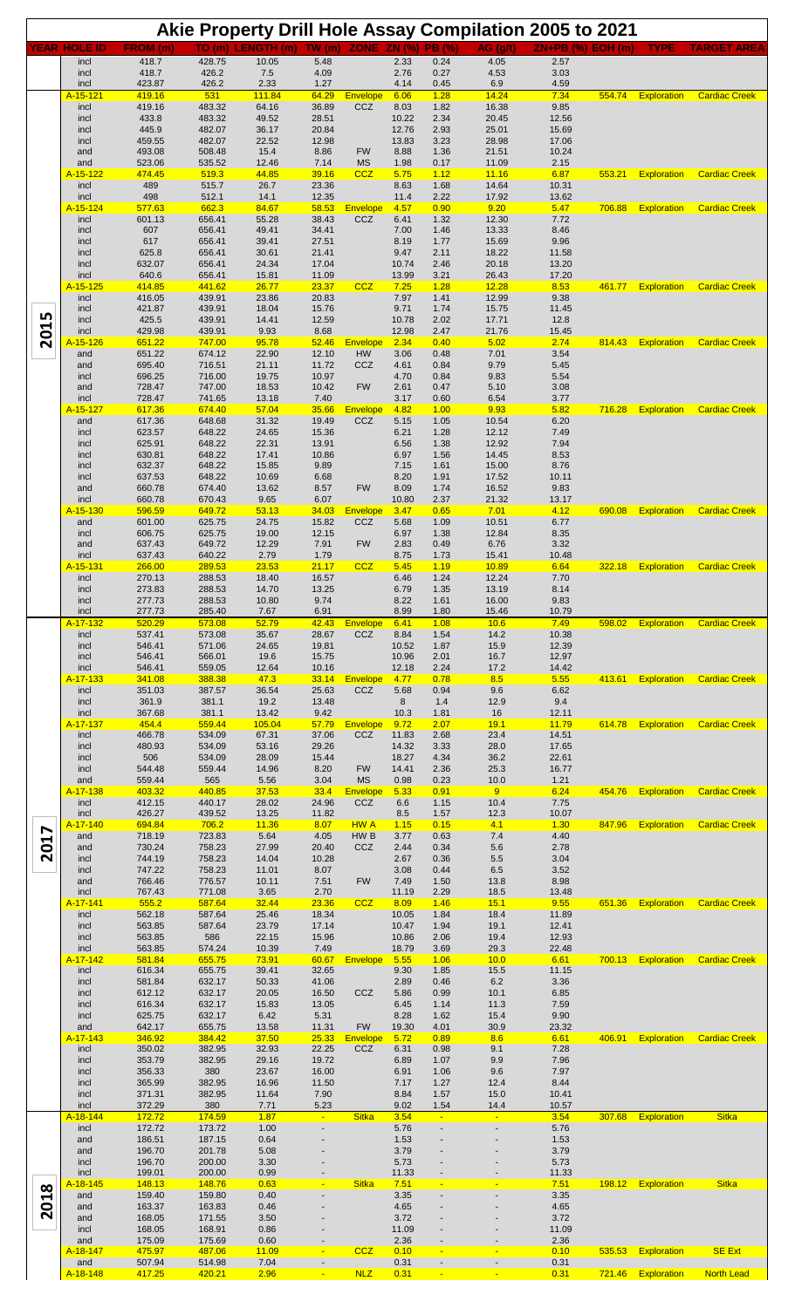|      |                             |                   |                  |                     |                |                        |                     |                          | Akie Property Drill Hole Assay Compilation 2005 to 2021 |                     |        |                    |                      |
|------|-----------------------------|-------------------|------------------|---------------------|----------------|------------------------|---------------------|--------------------------|---------------------------------------------------------|---------------------|--------|--------------------|----------------------|
|      | <b>YEAR HOLE ID</b><br>incl | FROM (m)<br>418.7 | TO (m)<br>428.75 | LENGTH (m)<br>10.05 | TW (m)<br>5.48 | <b>ZONE</b>            | ZN (%)<br>2.33      | <b>PB</b> (%)<br>0.24    | AG (q/t)<br>4.05                                        | $ZN+PB (%)$<br>2.57 | EOH(m) | <b>TYPE</b>        | <b>TARGET AREA</b>   |
|      | incl<br>incl                | 418.7<br>423.87   | 426.2<br>426.2   | 7.5<br>2.33         | 4.09<br>1.27   |                        | 2.76<br>4.14        | 0.27<br>0.45             | 4.53<br>6.9                                             | 3.03<br>4.59        |        |                    |                      |
|      | A-15-121<br>incl            | 419.16<br>419.16  | 531<br>483.32    | 111.84<br>64.16     | 64.29<br>36.89 | Envelope<br>CCZ        | 6.06<br>8.03        | 1.28<br>1.82             | 14.24<br>16.38                                          | 7.34<br>9.85        | 554.74 | <b>Exploration</b> | <b>Cardiac Creek</b> |
|      | incl<br>incl                | 433.8<br>445.9    | 483.32<br>482.07 | 49.52<br>36.17      | 28.51<br>20.84 |                        | 10.22<br>12.76      | 2.34<br>2.93             | 20.45<br>25.01                                          | 12.56<br>15.69      |        |                    |                      |
|      | incl                        | 459.55            | 482.07           | 22.52               | 12.98          |                        | 13.83               | 3.23                     | 28.98                                                   | 17.06               |        |                    |                      |
|      | and<br>and                  | 493.08<br>523.06  | 508.48<br>535.52 | 15.4<br>12.46       | 8.86<br>7.14   | <b>FW</b><br><b>MS</b> | 8.88<br>1.98        | 1.36<br>0.17             | 21.51<br>11.09                                          | 10.24<br>2.15       |        |                    |                      |
|      | A-15-122<br>incl            | 474.45<br>489     | 519.3<br>515.7   | 44.85<br>26.7       | 39.16<br>23.36 | CCZ                    | 5.75<br>8.63        | 1.12<br>1.68             | 11.16<br>14.64                                          | 6.87<br>10.31       | 553.21 | <b>Exploration</b> | <b>Cardiac Creek</b> |
|      | incl<br>A-15-124            | 498<br>577.63     | 512.1<br>662.3   | 14.1<br>84.67       | 12.35<br>58.53 | <b>Envelope</b>        | 11.4<br>4.57        | 2.22<br>0.90             | 17.92<br>9.20                                           | 13.62<br>5.47       | 706.88 | <b>Exploration</b> | <b>Cardiac Creek</b> |
|      | incl<br>incl                | 601.13<br>607     | 656.41<br>656.41 | 55.28<br>49.41      | 38.43<br>34.41 | CCZ                    | 6.41<br>7.00        | 1.32<br>1.46             | 12.30<br>13.33                                          | 7.72<br>8.46        |        |                    |                      |
|      | incl                        | 617               | 656.41           | 39.41               | 27.51          |                        | 8.19                | 1.77                     | 15.69                                                   | 9.96                |        |                    |                      |
|      | incl<br>incl                | 625.8<br>632.07   | 656.41<br>656.41 | 30.61<br>24.34      | 21.41<br>17.04 |                        | 9.47<br>10.74       | 2.11<br>2.46             | 18.22<br>20.18                                          | 11.58<br>13.20      |        |                    |                      |
|      | incl<br>A-15-125            | 640.6<br>414.85   | 656.41<br>441.62 | 15.81<br>26.77      | 11.09<br>23.37 | <b>CCZ</b>             | 13.99<br>7.25       | 3.21<br>1.28             | 26.43<br>12.28                                          | 17.20<br>8.53       | 461.77 | Exploration        | <b>Cardiac Creek</b> |
|      | incl<br>incl                | 416.05<br>421.87  | 439.91<br>439.91 | 23.86<br>18.04      | 20.83<br>15.76 |                        | 7.97<br>9.71        | 1.41<br>1.74             | 12.99<br>15.75                                          | 9.38<br>11.45       |        |                    |                      |
| 2015 | incl<br>incl                | 425.5<br>429.98   | 439.91<br>439.91 | 14.41<br>9.93       | 12.59<br>8.68  |                        | 10.78<br>12.98      | 2.02<br>2.47             | 17.71<br>21.76                                          | 12.8<br>15.45       |        |                    |                      |
|      | A-15-126<br>and             | 651.22<br>651.22  | 747.00<br>674.12 | 95.78<br>22.90      | 52.46<br>12.10 | Envelope<br>HW         | 2.34<br>3.06        | 0.40<br>0.48             | 5.02<br>7.01                                            | 2.74<br>3.54        | 814.43 | <b>Exploration</b> | <b>Cardiac Creek</b> |
|      | and                         | 695.40            | 716.51           | 21.11               | 11.72          | CCZ                    | 4.61                | 0.84                     | 9.79                                                    | 5.45                |        |                    |                      |
|      | incl<br>and                 | 696.25<br>728.47  | 716.00<br>747.00 | 19.75<br>18.53      | 10.97<br>10.42 | <b>FW</b>              | 4.70<br>2.61        | 0.84<br>0.47             | 9.83<br>5.10                                            | 5.54<br>3.08        |        |                    |                      |
|      | incl<br>A-15-127            | 728.47<br>617.36  | 741.65<br>674.40 | 13.18<br>57.04      | 7.40<br>35.66  | Envelope               | 3.17<br>4.82        | 0.60<br>1.00             | 6.54<br>9.93                                            | 3.77<br>5.82        | 716.28 | <b>Exploration</b> | <b>Cardiac Creek</b> |
|      | and<br>incl                 | 617.36<br>623.57  | 648.68<br>648.22 | 31.32<br>24.65      | 19.49<br>15.36 | CCZ                    | 5.15<br>6.21        | 1.05<br>1.28             | 10.54<br>12.12                                          | 6.20<br>7.49        |        |                    |                      |
|      | incl<br>incl                | 625.91<br>630.81  | 648.22<br>648.22 | 22.31<br>17.41      | 13.91<br>10.86 |                        | 6.56<br>6.97        | 1.38<br>1.56             | 12.92<br>14.45                                          | 7.94<br>8.53        |        |                    |                      |
|      | incl                        | 632.37            | 648.22           | 15.85               | 9.89           |                        | 7.15                | 1.61                     | 15.00                                                   | 8.76                |        |                    |                      |
|      | incl<br>and                 | 637.53<br>660.78  | 648.22<br>674.40 | 10.69<br>13.62      | 6.68<br>8.57   | <b>FW</b>              | 8.20<br>8.09        | 1.91<br>1.74             | 17.52<br>16.52                                          | 10.11<br>9.83       |        |                    |                      |
|      | incl<br>A-15-130            | 660.78<br>596.59  | 670.43<br>649.72 | 9.65<br>53.13       | 6.07<br>34.03  | <b>Envelope</b>        | 10.80<br>3.47       | 2.37<br>0.65             | 21.32<br>7.01                                           | 13.17<br>4.12       | 690.08 | <b>Exploration</b> | <b>Cardiac Creek</b> |
|      | and<br>incl                 | 601.00<br>606.75  | 625.75<br>625.75 | 24.75<br>19.00      | 15.82<br>12.15 | CCZ                    | 5.68<br>6.97        | 1.09<br>1.38             | 10.51<br>12.84                                          | 6.77<br>8.35        |        |                    |                      |
|      | and<br>incl                 | 637.43<br>637.43  | 649.72<br>640.22 | 12.29<br>2.79       | 7.91<br>1.79   | <b>FW</b>              | 2.83<br>8.75        | 0.49<br>1.73             | 6.76<br>15.41                                           | 3.32<br>10.48       |        |                    |                      |
|      | A-15-131<br>incl            | 266.00<br>270.13  | 289.53<br>288.53 | 23.53<br>18.40      | 21.17<br>16.57 | <b>CCZ</b>             | 5.45<br>6.46        | 1.19<br>1.24             | 10.89<br>12.24                                          | 6.64<br>7.70        | 322.18 | <b>Exploration</b> | <b>Cardiac Creek</b> |
|      | incl                        | 273.83            | 288.53           | 14.70               | 13.25          |                        | 6.79                | 1.35                     | 13.19                                                   | 8.14                |        |                    |                      |
|      | incl<br>incl                | 277.73<br>277.73  | 288.53<br>285.40 | 10.80<br>7.67       | 9.74<br>6.91   |                        | 8.22<br>8.99        | 1.61<br>1.80             | 16.00<br>15.46                                          | 9.83<br>10.79       |        |                    |                      |
|      | A-17-132<br>incl            | 520.29<br>537.41  | 573.08<br>573.08 | 52.79<br>35.67      | 42.43<br>28.67 | <b>Envelope</b><br>CCZ | 6.41<br>8.84        | 1.08<br>1.54             | 10.6<br>14.2                                            | 7.49<br>10.38       | 598.02 | <b>Exploration</b> | <b>Cardiac Creek</b> |
|      | incl<br>incl                | 546.41<br>546.41  | 571.06<br>566.01 | 24.65<br>19.6       | 19.81<br>15.75 |                        | 10.52<br>10.96      | 1.87<br>2.01             | 15.9<br>16.7                                            | 12.39<br>12.97      |        |                    |                      |
|      | incl<br>A-17-133            | 546.41<br>341.08  | 559.05<br>388.38 | 12.64<br>47.3       | 10.16<br>33.14 | <b>Envelope</b>        | 12.18<br>4.77       | 2.24<br>0.78             | 17.2<br>8.5                                             | 14.42<br>5.55       | 413.61 | Exploration        | <b>Cardiac Creek</b> |
|      | incl                        | 351.03            | 387.57<br>381.1  | 36.54               | 25.63<br>13.48 | CCZ                    | 5.68                | 0.94                     | 9.6                                                     | 6.62<br>9.4         |        |                    |                      |
|      | incl<br>incl                | 361.9<br>367.68   | 381.1            | 19.2<br>13.42       | 9.42           |                        | 8<br>10.3           | 1.4<br>1.81              | 12.9<br>16                                              | 12.11               |        |                    |                      |
|      | A-17-137<br>incl            | 454.4<br>466.78   | 559.44<br>534.09 | 105.04<br>67.31     | 57.79<br>37.06 | <b>Envelope</b><br>CCZ | 9.72<br>11.83       | 2.07<br>2.68             | 19.1<br>23.4                                            | 11.79<br>14.51      | 614.78 | <b>Exploration</b> | <b>Cardiac Creek</b> |
|      | incl<br>incl                | 480.93<br>506     | 534.09<br>534.09 | 53.16<br>28.09      | 29.26<br>15.44 |                        | 14.32<br>18.27      | 3.33<br>4.34             | 28.0<br>36.2                                            | 17.65<br>22.61      |        |                    |                      |
|      | incl<br>and                 | 544.48<br>559.44  | 559.44<br>565    | 14.96<br>5.56       | 8.20<br>3.04   | <b>FW</b><br><b>MS</b> | 14.41<br>0.98       | 2.36<br>0.23             | 25.3<br>10.0                                            | 16.77<br>1.21       |        |                    |                      |
|      | A-17-138<br>incl            | 403.32<br>412.15  | 440.85<br>440.17 | 37.53<br>28.02      | 33.4<br>24.96  | <b>Envelope</b><br>CCZ | 5.33<br>6.6         | 0.91<br>1.15             | 9<br>10.4                                               | 6.24<br>7.75        | 454.76 | Exploration        | <b>Cardiac Creek</b> |
|      | incl<br>A-17-140            | 426.27<br>694.84  | 439.52<br>706.2  | 13.25<br>11.36      | 11.82<br>8.07  | <b>HWA</b>             | 8.5<br>1.15         | 1.57<br>0.15             | 12.3<br>4.1                                             | 10.07<br>1.30       | 847.96 | Exploration        | <b>Cardiac Creek</b> |
| 2017 | and                         | 718.19            | 723.83           | 5.64                | 4.05           | HW B                   | 3.77                | 0.63                     | 7.4                                                     | 4.40                |        |                    |                      |
|      | and<br>incl                 | 730.24<br>744.19  | 758.23<br>758.23 | 27.99<br>14.04      | 20.40<br>10.28 | CCZ                    | 2.44<br>2.67        | 0.34<br>0.36             | 5.6<br>5.5                                              | 2.78<br>3.04        |        |                    |                      |
|      | incl<br>and                 | 747.22<br>766.46  | 758.23<br>776.57 | 11.01<br>10.11      | 8.07<br>7.51   | <b>FW</b>              | 3.08<br>7.49        | 0.44<br>1.50             | 6.5<br>13.8                                             | 3.52<br>8.98        |        |                    |                      |
|      | incl<br>A-17-141            | 767.43<br>555.2   | 771.08<br>587.64 | 3.65<br>32.44       | 2.70<br>23.36  | CCZ                    | 11.19<br>8.09       | 2.29<br>1.46             | 18.5<br>15.1                                            | 13.48<br>9.55       | 651.36 | Exploration        | <b>Cardiac Creek</b> |
|      | incl<br>incl                | 562.18<br>563.85  | 587.64<br>587.64 | 25.46<br>23.79      | 18.34<br>17.14 |                        | 10.05<br>10.47      | 1.84<br>1.94             | 18.4<br>19.1                                            | 11.89<br>12.41      |        |                    |                      |
|      | incl<br>incl                | 563.85<br>563.85  | 586<br>574.24    | 22.15<br>10.39      | 15.96<br>7.49  |                        | 10.86<br>18.79      | 2.06<br>3.69             | 19.4<br>29.3                                            | 12.93<br>22.48      |        |                    |                      |
|      | A-17-142                    | 581.84            | 655.75           | 73.91               | 60.67          | <b>Envelope</b>        | 5.55                | 1.06                     | 10.0                                                    | 6.61                | 700.13 | Exploration        | <b>Cardiac Creek</b> |
|      | incl<br>incl                | 616.34<br>581.84  | 655.75<br>632.17 | 39.41<br>50.33      | 32.65<br>41.06 |                        | 9.30<br>2.89        | 1.85<br>0.46             | 15.5<br>$6.2\,$                                         | 11.15<br>3.36       |        |                    |                      |
|      | incl<br>incl                | 612.12<br>616.34  | 632.17<br>632.17 | 20.05<br>15.83      | 16.50<br>13.05 | CCZ                    | 5.86<br>6.45        | 0.99<br>1.14             | 10.1<br>11.3                                            | 6.85<br>7.59        |        |                    |                      |
|      | incl<br>and                 | 625.75<br>642.17  | 632.17<br>655.75 | 6.42<br>13.58       | 5.31<br>11.31  | <b>FW</b>              | 8.28<br>19.30       | 1.62<br>4.01             | 15.4<br>30.9                                            | 9.90<br>23.32       |        |                    |                      |
|      | A-17-143<br>incl            | 346.92<br>350.02  | 384.42<br>382.95 | 37.50<br>32.93      | 25.33<br>22.25 | <b>Envelope</b><br>CCZ | 5.72<br>6.31        | 0.89<br>0.98             | 8.6<br>9.1                                              | 6.61<br>7.28        | 406.91 | <b>Exploration</b> | <b>Cardiac Creek</b> |
|      | incl<br>incl                | 353.79<br>356.33  | 382.95<br>380    | 29.16<br>23.67      | 19.72<br>16.00 |                        | 6.89<br>6.91        | 1.07<br>1.06             | 9.9<br>9.6                                              | 7.96<br>7.97        |        |                    |                      |
|      | incl                        | 365.99            | 382.95           | 16.96               | 11.50          |                        | 7.17                | 1.27                     | 12.4                                                    | 8.44                |        |                    |                      |
|      | incl<br>incl                | 371.31<br>372.29  | 382.95<br>380    | 11.64<br>7.71       | 7.90<br>5.23   |                        | 8.84<br>9.02        | 1.57<br>1.54             | 15.0<br>14.4                                            | 10.41<br>10.57      |        |                    |                      |
|      | A-18-144<br>incl            | 172.72<br>172.72  | 174.59<br>173.72 | 1.87<br>1.00        | $\sim$         | <b>Sitka</b>           | 3.54<br>5.76        | $\sim$                   | $\sim$<br>$\overline{\phantom{a}}$                      | 3.54<br>5.76        | 307.68 | Exploration        | <b>Sitka</b>         |
|      | and<br>and                  | 186.51<br>196.70  | 187.15<br>201.78 | 0.64<br>5.08        |                |                        | 1.53<br>3.79        |                          |                                                         | 1.53<br>3.79        |        |                    |                      |
|      | incl<br>incl                | 196.70<br>199.01  | 200.00<br>200.00 | 3.30<br>0.99        |                |                        | 5.73<br>11.33       |                          |                                                         | 5.73<br>11.33       |        |                    |                      |
|      | <u>A-18-145</u><br>and      | <u> 148.13</u>    | <u>148.76</u>    | 0.63<br>0.40        |                | <u>Sitka</u>           | <u>7.51</u><br>3.35 | $\overline{\phantom{a}}$ |                                                         | <u>7.51</u><br>3.35 |        | 198.12 Exploration | <u>Sitka</u>         |
| 2018 | and                         | 159.40<br>163.37  | 159.80<br>163.83 | 0.46                | ٠              |                        | 4.65                |                          | $\overline{\phantom{a}}$                                | 4.65                |        |                    |                      |
|      | and<br>incl                 | 168.05<br>168.05  | 171.55<br>168.91 | 3.50<br>0.86        |                |                        | 3.72<br>11.09       |                          |                                                         | 3.72<br>11.09       |        |                    |                      |
|      | and<br>A-18-147             | 175.09<br>475.97  | 175.69<br>487.06 | 0.60<br>11.09       | $\blacksquare$ | CCZ                    | 2.36<br>0.10        | ٠                        | $\blacksquare$                                          | 2.36<br>0.10        | 535.53 | Exploration        | <b>SE Ext</b>        |
|      | and<br>A-18-148             | 507.94<br>417.25  | 514.98<br>420.21 | 7.04<br>2.96        | $\blacksquare$ | <b>NLZ</b>             | 0.31<br>0.31        | $\blacksquare$           |                                                         | 0.31<br>0.31        | 721.46 | Exploration        | <b>North Lead</b>    |